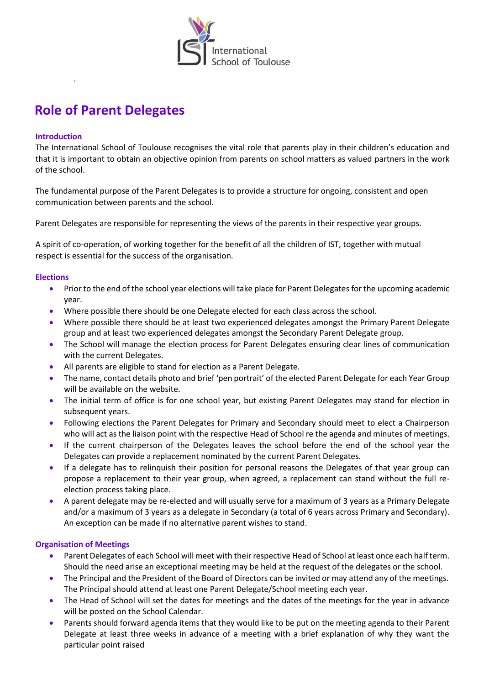

# **Role of Parent Delegates**

#### **Introduction**

The International School of Toulouse recognises the vital role that parents play in their children's education and that it is important to obtain an objective opinion from parents on school matters as valued partners in the work of the school.

The fundamental purpose of the Parent Delegates is to provide a structure for ongoing, consistent and open communication between parents and the school.

Parent Delegates are responsible for representing the views of the parents in their respective year groups.

A spirit of co-operation, of working together for the benefit of all the children of IST, together with mutual respect is essential for the success of the organisation.

## **Elections**

- **•** Prior to the end of the school year elections will take place for Parent Delegates for the upcoming academic year.
- Where possible there should be one Delegate elected for each class across the school.
- Where possible there should be at least two experienced delegates amongst the Primary Parent Delegate group and at least two experienced delegates amongst the Secondary Parent Delegate group.
- The School will manage the election process for Parent Delegates ensuring clear lines of communication with the current Delegates.
- All parents are eligible to stand for election as a Parent Delegate.
- The name, contact details photo and brief 'pen portrait' of the elected Parent Delegate for each Year Group will be available on the website.
- The initial term of office is for one school year, but existing Parent Delegates may stand for election in subsequent years.
- Following elections the Parent Delegates for Primary and Secondary should meet to elect a Chairperson who will act as the liaison point with the respective Head of School re the agenda and minutes of meetings.
- If the current chairperson of the Delegates leaves the school before the end of the school year the Delegates can provide a replacement nominated by the current Parent Delegates.
- If a delegate has to relinquish their position for personal reasons the Delegates of that year group can propose a replacement to their year group, when agreed, a replacement can stand without the full reelection process taking place.
- A parent delegate may be re-elected and will usually serve for a maximum of 3 years as a Primary Delegate and/or a maximum of 3 years as a delegate in Secondary (a total of 6 years across Primary and Secondary). An exception can be made if no alternative parent wishes to stand.

#### **Organisation of Meetings**

- Parent Delegates of each School will meet with their respective Head of School at least once each half term. Should the need arise an exceptional meeting may be held at the request of the delegates or the school.
- The Principal and the President of the Board of Directors can be invited or may attend any of the meetings. The Principal should attend at least one Parent Delegate/School meeting each year.
- The Head of School will set the dates for meetings and the dates of the meetings for the year in advance will be posted on the School Calendar.
- Parents should forward agenda items that they would like to be put on the meeting agenda to their Parent Delegate at least three weeks in advance of a meeting with a brief explanation of why they want the particular point raised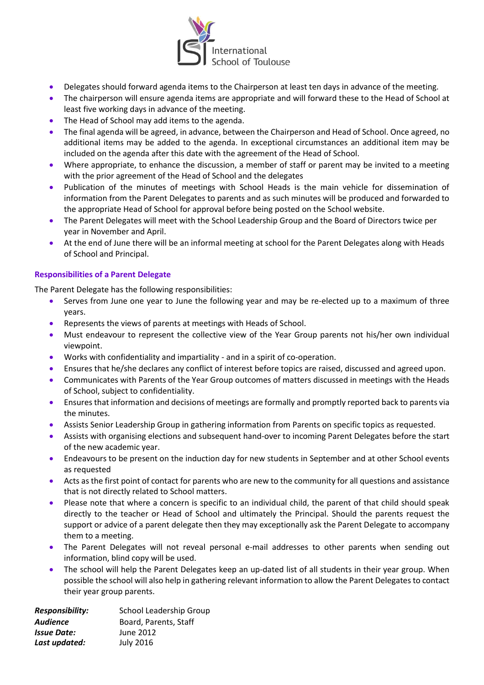

- Delegates should forward agenda items to the Chairperson at least ten days in advance of the meeting.
- The chairperson will ensure agenda items are appropriate and will forward these to the Head of School at least five working days in advance of the meeting.
- The Head of School may add items to the agenda.
- The final agenda will be agreed, in advance, between the Chairperson and Head of School. Once agreed, no additional items may be added to the agenda. In exceptional circumstances an additional item may be included on the agenda after this date with the agreement of the Head of School.
- Where appropriate, to enhance the discussion, a member of staff or parent may be invited to a meeting with the prior agreement of the Head of School and the delegates
- Publication of the minutes of meetings with School Heads is the main vehicle for dissemination of information from the Parent Delegates to parents and as such minutes will be produced and forwarded to the appropriate Head of School for approval before being posted on the School website.
- The Parent Delegates will meet with the School Leadership Group and the Board of Directors twice per year in November and April.
- At the end of June there will be an informal meeting at school for the Parent Delegates along with Heads of School and Principal.

## **Responsibilities of a Parent Delegate**

The Parent Delegate has the following responsibilities:

- Serves from June one year to June the following year and may be re-elected up to a maximum of three years.
- Represents the views of parents at meetings with Heads of School.
- Must endeavour to represent the collective view of the Year Group parents not his/her own individual viewpoint.
- Works with confidentiality and impartiality and in a spirit of co-operation.
- Ensures that he/she declares any conflict of interest before topics are raised, discussed and agreed upon.
- Communicates with Parents of the Year Group outcomes of matters discussed in meetings with the Heads of School, subject to confidentiality.
- Ensures that information and decisions of meetings are formally and promptly reported back to parents via the minutes.
- Assists Senior Leadership Group in gathering information from Parents on specific topics as requested.
- Assists with organising elections and subsequent hand-over to incoming Parent Delegates before the start of the new academic year.
- Endeavours to be present on the induction day for new students in September and at other School events as requested
- Acts as the first point of contact for parents who are new to the community for all questions and assistance that is not directly related to School matters.
- Please note that where a concern is specific to an individual child, the parent of that child should speak directly to the teacher or Head of School and ultimately the Principal. Should the parents request the support or advice of a parent delegate then they may exceptionally ask the Parent Delegate to accompany them to a meeting.
- The Parent Delegates will not reveal personal e-mail addresses to other parents when sending out information, blind copy will be used.
- The school will help the Parent Delegates keep an up-dated list of all students in their year group. When possible the school will also help in gathering relevant information to allow the Parent Delegates to contact their year group parents.

| <b>Responsibility:</b> | School Leadership Group |
|------------------------|-------------------------|
| Audience               | Board, Parents, Staff   |
| <b>Issue Date:</b>     | June 2012               |
| Last updated:          | <b>July 2016</b>        |